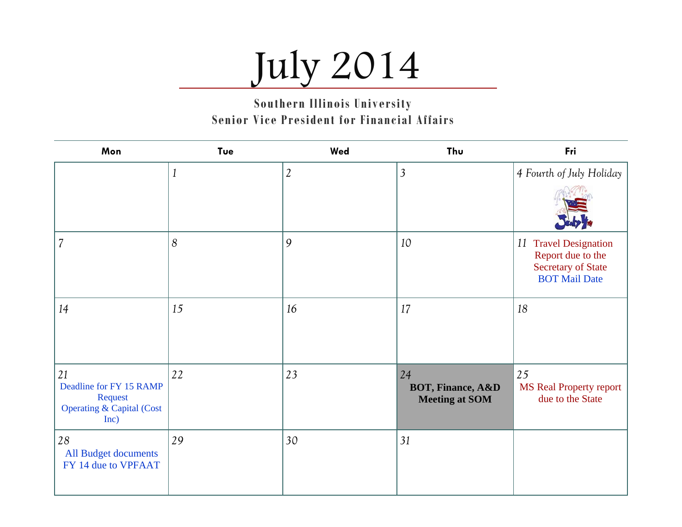# July 2014

**Southern Illinois University Senior Vice President for Financial Affairs** 

| Mon                                                                                      | Tue          | Wed            | Thu                                                         | Fri                                                                                             |
|------------------------------------------------------------------------------------------|--------------|----------------|-------------------------------------------------------------|-------------------------------------------------------------------------------------------------|
|                                                                                          | $\mathbf{1}$ | $\mathfrak{2}$ | $\mathfrak{Z}$                                              | 4 Fourth of July Holiday                                                                        |
|                                                                                          |              |                |                                                             |                                                                                                 |
| 7                                                                                        | 8            | 9              | 10                                                          | 11 Travel Designation<br>Report due to the<br><b>Secretary of State</b><br><b>BOT Mail Date</b> |
| 14                                                                                       | 15           | 16             | 17                                                          | 18                                                                                              |
| 21<br>Deadline for FY 15 RAMP<br>Request<br><b>Operating &amp; Capital (Cost</b><br>Inc) | 22           | 23             | 24<br><b>BOT, Finance, A&amp;D</b><br><b>Meeting at SOM</b> | $\vert 25 \vert$<br><b>MS Real Property report</b><br>due to the State                          |
| 28<br>All Budget documents<br>FY 14 due to VPFAAT                                        | 29           | 30             | 31                                                          |                                                                                                 |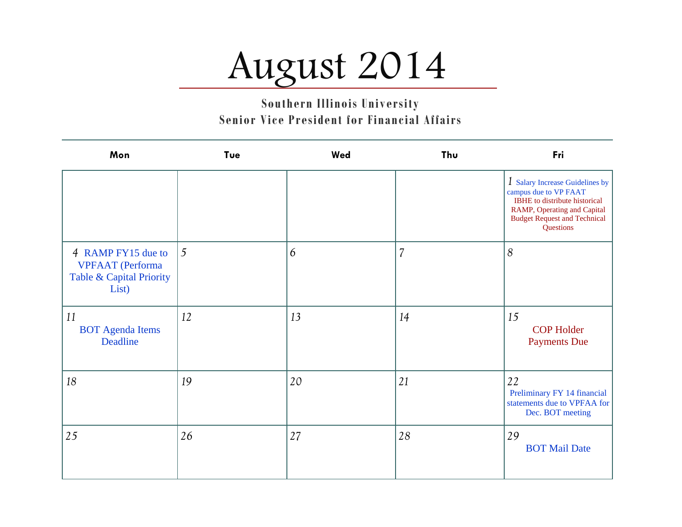### August 2014

| Mon                                                                                | Tue | Wed | Thu                      | Fri                                                                                                                                                                          |
|------------------------------------------------------------------------------------|-----|-----|--------------------------|------------------------------------------------------------------------------------------------------------------------------------------------------------------------------|
|                                                                                    |     |     |                          | 1 Salary Increase Guidelines by<br>campus due to VP FAAT<br>IBHE to distribute historical<br>RAMP, Operating and Capital<br><b>Budget Request and Technical</b><br>Questions |
| 4 RAMP FY15 due to<br><b>VPFAAT</b> (Performa<br>Table & Capital Priority<br>List) | 5   | 6   | $\overline{\mathcal{L}}$ | 8                                                                                                                                                                            |
| 11<br><b>BOT</b> Agenda Items<br>Deadline                                          | 12  | 13  | 14                       | 15<br><b>COP Holder</b><br><b>Payments Due</b>                                                                                                                               |
| 18                                                                                 | 19  | 20  | 21                       | 22<br>Preliminary FY 14 financial<br>statements due to VPFAA for<br>Dec. BOT meeting                                                                                         |
| 25                                                                                 | 26  | 27  | 28                       | 29<br><b>BOT Mail Date</b>                                                                                                                                                   |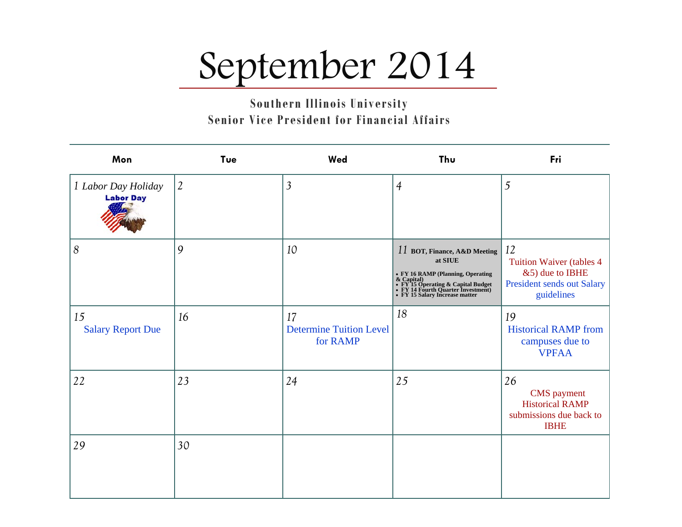# September 2014

**Southern Illinois University Senior Vice President for Financial Affairs** 

| Mon                                     | Tue            | Wed                                              | Thu                                     | Fri                                                                                                   |
|-----------------------------------------|----------------|--------------------------------------------------|-----------------------------------------|-------------------------------------------------------------------------------------------------------|
| 1 Labor Day Holiday<br><b>Labor Day</b> | $\overline{2}$ | $\mathfrak{Z}$                                   | $\overline{4}$                          | 5                                                                                                     |
| 8                                       | 9              | 10                                               | 11 BOT, Finance, A&D Meeting<br>at SIUE | 12<br><b>Tuition Waiver (tables 4)</b><br>&5) due to IBHE<br>President sends out Salary<br>guidelines |
| 15<br><b>Salary Report Due</b>          | 16             | 17<br><b>Determine Tuition Level</b><br>for RAMP | 18                                      | 19<br><b>Historical RAMP from</b><br>campuses due to<br><b>VPFAA</b>                                  |
| 22                                      | 23             | 24                                               | 25                                      | 26<br><b>CMS</b> payment<br><b>Historical RAMP</b><br>submissions due back to<br><b>IBHE</b>          |
| 29                                      | 30             |                                                  |                                         |                                                                                                       |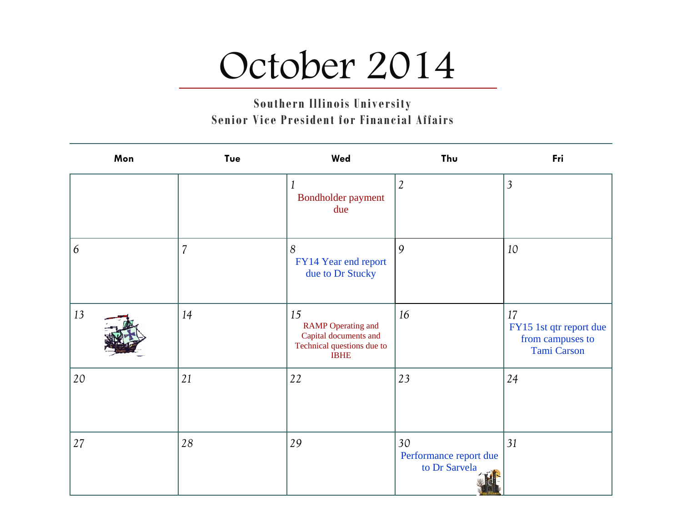### October 2014

**Southern Illinois University Senior Vice President for Financial Affairs** 

| Mon | Tue            | Wed                                                                                                   | Thu                                           | Fri                                                                     |
|-----|----------------|-------------------------------------------------------------------------------------------------------|-----------------------------------------------|-------------------------------------------------------------------------|
|     |                | Bondholder payment<br>due                                                                             | $\mathfrak{2}$                                | $\overline{3}$                                                          |
| 6   | $\overline{7}$ | 8<br>FY14 Year end report<br>due to Dr Stucky                                                         | $\overline{9}$                                | 10                                                                      |
| 13  | 14             | 15<br><b>RAMP</b> Operating and<br>Capital documents and<br>Technical questions due to<br><b>IBHE</b> | 16                                            | 17<br>FY15 1st qtr report due<br>from campuses to<br><b>Tami Carson</b> |
| 20  | 21             | 22                                                                                                    | 23                                            | 24                                                                      |
| 27  | 28             | 29                                                                                                    | 30<br>Performance report due<br>to Dr Sarvela | 31                                                                      |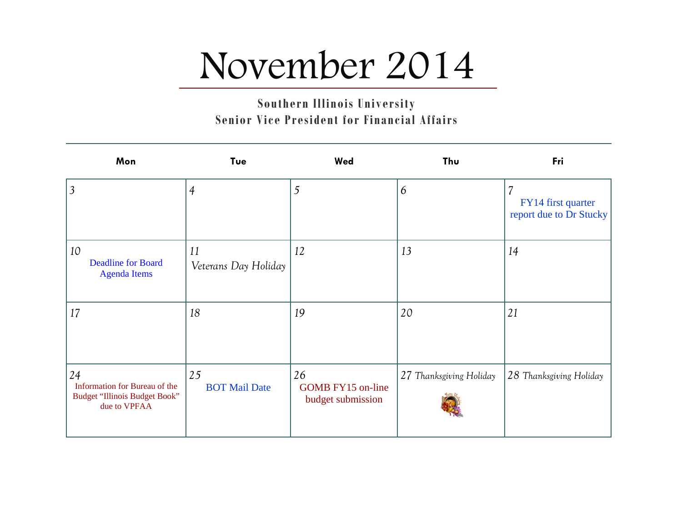### November 2014

**Southern Illinois University Senior Vice President for Financial Affairs** 

| Mon                                                                                  | Tue                        | Wed                                                 | Thu                     | Fri                                                                       |
|--------------------------------------------------------------------------------------|----------------------------|-----------------------------------------------------|-------------------------|---------------------------------------------------------------------------|
| $\overline{3}$                                                                       | $\overline{4}$             | 5                                                   | 6                       | $\overline{\mathcal{L}}$<br>FY14 first quarter<br>report due to Dr Stucky |
| 10<br><b>Deadline for Board</b><br><b>Agenda Items</b>                               | 11<br>Veterans Day Holiday | 12                                                  | 13                      | 14                                                                        |
| 17                                                                                   | 18                         | 19                                                  | 20                      | 21                                                                        |
| 24<br>Information for Bureau of the<br>Budget "Illinois Budget Book"<br>due to VPFAA | 25<br><b>BOT Mail Date</b> | 26<br><b>GOMB FY15 on-line</b><br>budget submission | 27 Thanksgiving Holiday | 28 Thanksgiving Holiday                                                   |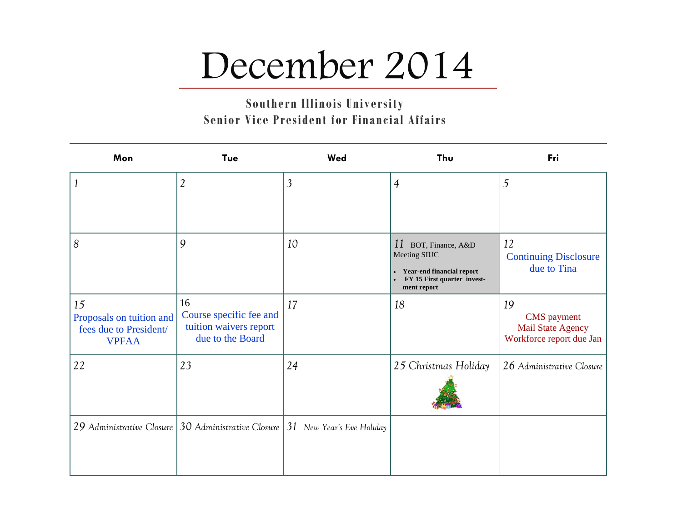### December 2014

| Mon                                                                      | Tue                                                                           | Wed            | Thu                                                                                                               | Fri                                                                              |
|--------------------------------------------------------------------------|-------------------------------------------------------------------------------|----------------|-------------------------------------------------------------------------------------------------------------------|----------------------------------------------------------------------------------|
|                                                                          | $\overline{2}$                                                                | $\overline{3}$ | $\overline{4}$                                                                                                    | 5                                                                                |
| 8                                                                        | 9                                                                             | 10             | 11 BOT, Finance, A&D<br>Meeting SIUC<br>• Year-end financial report<br>FY 15 First quarter invest-<br>ment report | 12<br><b>Continuing Disclosure</b><br>due to Tina                                |
| 15<br>Proposals on tuition and<br>fees due to President/<br><b>VPFAA</b> | 16<br>Course specific fee and<br>tuition waivers report<br>due to the Board   | 17             | 18                                                                                                                | 19<br><b>CMS</b> payment<br><b>Mail State Agency</b><br>Workforce report due Jan |
| 22                                                                       | 23                                                                            | 24             | 25 Christmas Holiday                                                                                              | 26 Administrative Closure                                                        |
|                                                                          | 29 Administrative Closure 30 Administrative Closure 31 New Year's Eve Holiday |                |                                                                                                                   |                                                                                  |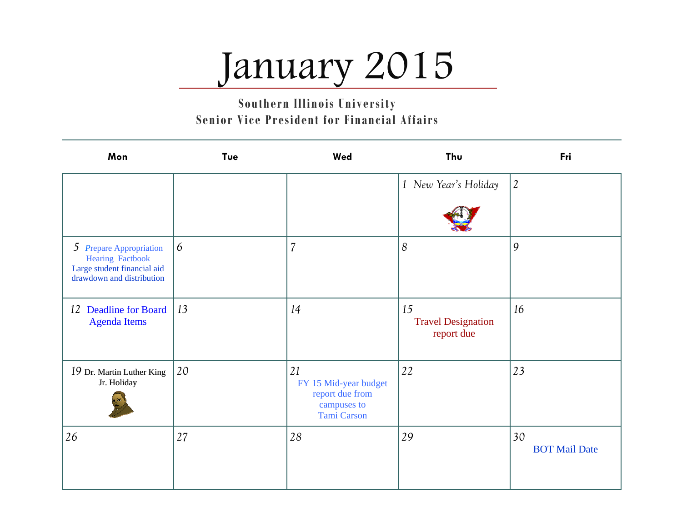## January 2015

| Mon                                                                                                            | Tue | Wed                                                                                 | Thu                                           | Fri                        |
|----------------------------------------------------------------------------------------------------------------|-----|-------------------------------------------------------------------------------------|-----------------------------------------------|----------------------------|
|                                                                                                                |     |                                                                                     | 1 New Year's Holiday                          | $\mathfrak{2}$             |
| 5 Prepare Appropriation<br><b>Hearing Factbook</b><br>Large student financial aid<br>drawdown and distribution | 6   | $\overline{7}$                                                                      | $\delta$                                      | 9                          |
| 12 Deadline for Board<br><b>Agenda Items</b>                                                                   | 13  | 14                                                                                  | 15<br><b>Travel Designation</b><br>report due | 16                         |
| 19 Dr. Martin Luther King<br>Jr. Holiday                                                                       | 20  | 21<br>FY 15 Mid-year budget<br>report due from<br>campuses to<br><b>Tami Carson</b> | 22                                            | 23                         |
| 26                                                                                                             | 27  | 28                                                                                  | 29                                            | 30<br><b>BOT Mail Date</b> |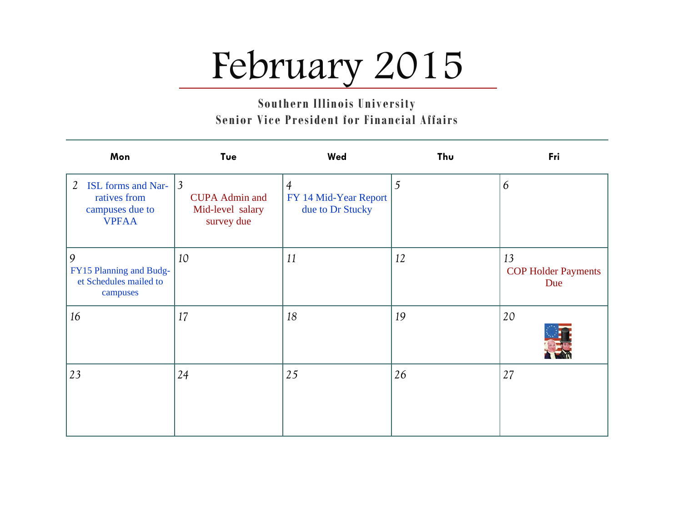# February 2015

| Mon                                                                     | Tue                                                                       | Wed                                                         | Thu | Fri                                     |
|-------------------------------------------------------------------------|---------------------------------------------------------------------------|-------------------------------------------------------------|-----|-----------------------------------------|
| 2 ISL forms and Nar-<br>ratives from<br>campuses due to<br><b>VPFAA</b> | $\mathfrak{Z}$<br><b>CUPA Admin and</b><br>Mid-level salary<br>survey due | $\overline{4}$<br>FY 14 Mid-Year Report<br>due to Dr Stucky | 5   | 6                                       |
| 9<br>FY15 Planning and Budg-<br>et Schedules mailed to<br>campuses      | 10                                                                        | 11                                                          | 12  | 13<br><b>COP Holder Payments</b><br>Due |
| 16                                                                      | 17                                                                        | 18                                                          | 19  | 20                                      |
| 23                                                                      | 24                                                                        | 25                                                          | 26  | 27                                      |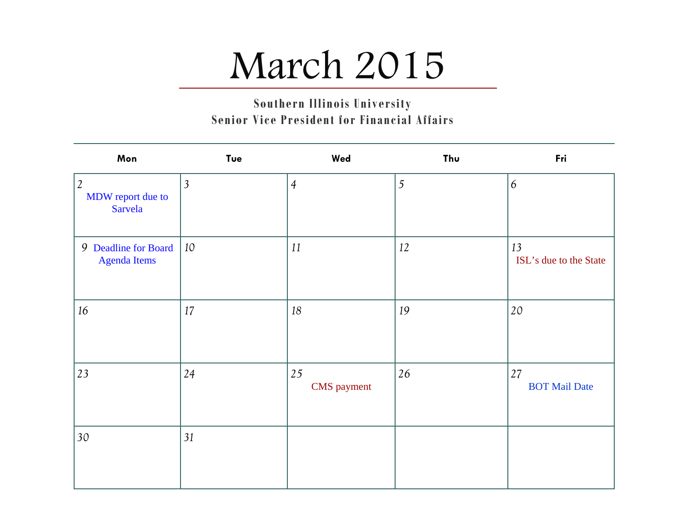## March 2015

| Mon                                         | Tue            | Wed                      | Thu            | Fri                          |
|---------------------------------------------|----------------|--------------------------|----------------|------------------------------|
| $ 2\rangle$<br>MDW report due to<br>Sarvela | $\overline{3}$ | $\overline{4}$           | $\mathfrak{S}$ | 6                            |
| 9 Deadline for Board<br><b>Agenda Items</b> | 10             | 11                       | 12             | 13<br>ISL's due to the State |
| 16                                          | 17             | 18                       | 19             | 20                           |
| 23                                          | 24             | 25<br><b>CMS</b> payment | 26             | 27<br><b>BOT Mail Date</b>   |
| 30                                          | 31             |                          |                |                              |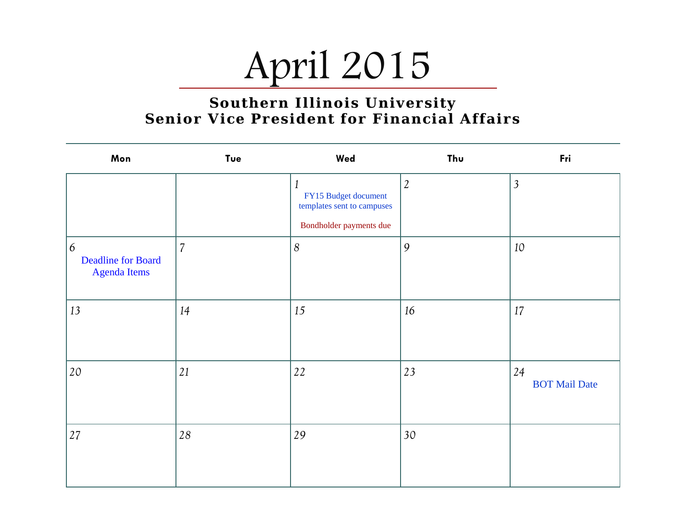

| Mon                                                   | Tue            | Wed                                                                                | Thu            | Fri                        |
|-------------------------------------------------------|----------------|------------------------------------------------------------------------------------|----------------|----------------------------|
|                                                       |                | 1<br>FY15 Budget document<br>templates sent to campuses<br>Bondholder payments due | $\mathfrak{2}$ | $\overline{3}$             |
| 6<br><b>Deadline for Board</b><br><b>Agenda Items</b> | $\overline{7}$ | $\boldsymbol{8}$                                                                   | 9              | 10                         |
| 13                                                    | 14             | 15                                                                                 | 16             | 17                         |
| 20                                                    | 21             | 22                                                                                 | 23             | 24<br><b>BOT Mail Date</b> |
| 27                                                    | 28             | 29                                                                                 | 30             |                            |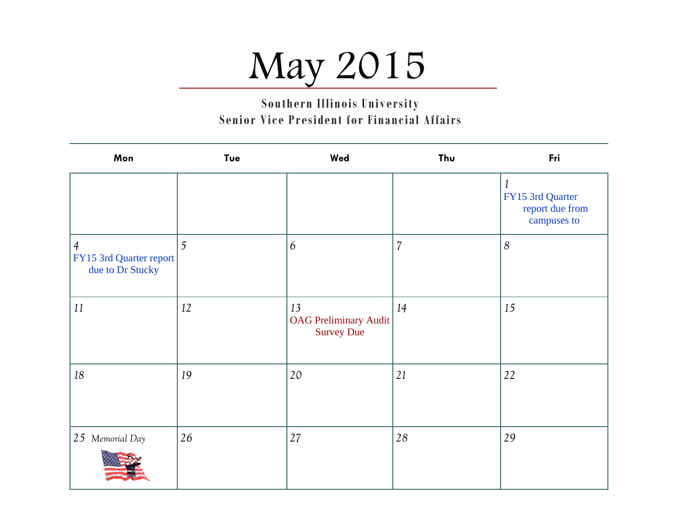# May 2015

**Southern Illinois University Senior Vice President for Financial Affairs** 

| Mon                                                           | Tue | Wed                                                     | Thu            | Fri                                                                |
|---------------------------------------------------------------|-----|---------------------------------------------------------|----------------|--------------------------------------------------------------------|
|                                                               |     |                                                         |                | $\mathbf{1}$<br>FY15 3rd Quarter<br>report due from<br>campuses to |
| $\overline{4}$<br>FY15 3rd Quarter report<br>due to Dr Stucky | 5   | 6                                                       | $\overline{7}$ | $\boldsymbol{8}$                                                   |
| 11                                                            | 12  | 13<br><b>OAG Preliminary Audit</b><br><b>Survey Due</b> | 14             | 15                                                                 |
| 18                                                            | 19  | 20                                                      | 21             | 22                                                                 |
| 25 Memorial Day                                               | 26  | 27                                                      | 28             | 29                                                                 |